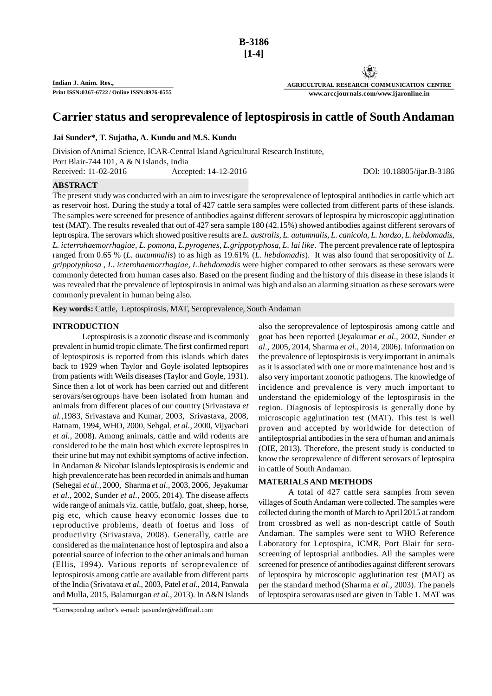**AGRICULTURAL RESEARCH COMMUNICATION CENTRE www.arccjournals.com/www.ijaronline.in**

# **Carrier status and seroprevalence of leptospirosis in cattle of South Andaman**

# **Jai Sunder\*, T. Sujatha, A. Kundu and M.S. Kundu**

Division of Animal Science, ICAR-Central Island Agricultural Research Institute, Port Blair-744 101, A & N Islands, India Received: 11-02-2016 Accepted: 14-12-2016 DOI: 10.18805/ijar.B-3186

### **ABSTRACT**

The present study was conducted with an aim to investigate the seroprevalence of leptospiral antibodies in cattle which act as reservoir host. During the study a total of 427 cattle sera samples were collected from different parts of these islands. The samples were screened for presence of antibodies against different serovars of leptospira by microscopic agglutination test (MAT). The results revealed that out of 427 sera sample 180 (42.15%) showed antibodies against different serovars of leptrospira. The serovars which showed positive results are *L. australis, L. autumnalis, L. canicola, L. hardzo, L. hebdomadis, L. icterrohaemorrhagiae, L. pomona, L.pyrogenes, L.grippotyphosa, L. lai like*. The percent prevalence rate of leptospira ranged from 0.65 % (*L. autumnalis*) to as high as 19.61% (*L. hebdomadis*). It was also found that seropositivity of *L. grippotyphosa , L. icterohaemorrhagiae, L.hebdomadis* were higher compared to other serovars as these serovars were commonly detected from human cases also. Based on the present finding and the history of this disease in these islands it was revealed that the prevalence of leptospirosis in animal was high and also an alarming situation as these serovars were commonly prevalent in human being also.

**Key words:** Cattle, Leptospirosis, MAT, Seroprevalence, South Andaman

#### **INTRODUCTION**

Leptospirosis is a zoonotic disease and is commonly prevalent in humid tropic climate. The first confirmed report of leptospirosis is reported from this islands which dates back to 1929 when Taylor and Goyle isolated leptsopires from patients with Weils diseases (Taylor and Goyle, 1931). Since then a lot of work has been carried out and different serovars/serogroups have been isolated from human and animals from different places of our country (Srivastava *et al.,*1983, Srivastava and Kumar, 2003, Srivastava, 2008, Ratnam, 1994, WHO, 2000, Sehgal, *et al.*, 2000, Vijyachari *et al.,* 2008). Among animals, cattle and wild rodents are considered to be the main host which excrete leptospires in their urine but may not exhibit symptoms of active infection. In Andaman & Nicobar Islands leptospirosis is endemic and high prevalence rate has been recorded in animals and human (Sehegal *et al*., 2000, Sharma *et al*., 2003, 2006, Jeyakumar *et al*., 2002, Sunder *et al*., 2005, 2014). The disease affects wide range of animals viz. cattle, buffalo, goat, sheep, horse, pig etc, which cause heavy economic losses due to reproductive problems, death of foetus and loss of productivity (Srivastava, 2008). Generally, cattle are considered as the maintenance host of leptospira and also a potential source of infection to the other animals and human (Ellis, 1994). Various reports of seroprevalence of leptospirosis among cattle are available from different parts of the India (Srivatava *et al*., 2003, Patel *et al*., 2014, Panwala and Mulla, 2015, Balamurgan *et al*., 2013). In A&N Islands

also the seroprevalence of leptospirosis among cattle and goat has been reported (Jeyakumar *et al*., 2002, Sunder *et al*., 2005, 2014, Sharma *et al*., 2014, 2006). Information on the prevalence of leptospirosis is very important in animals as it is associated with one or more maintenance host and is also very important zoonotic pathogens. The knowledge of incidence and prevalence is very much important to understand the epidemiology of the leptospirosis in the region. Diagnosis of leptospirosis is generally done by microscopic agglutination test (MAT). This test is well proven and accepted by worldwide for detection of antileptosprial antibodies in the sera of human and animals (OIE, 2013). Therefore, the present study is conducted to know the seroprevalence of different serovars of leptospira in cattle of South Andaman.

#### **MATERIALS AND METHODS**

A total of 427 cattle sera samples from seven villages of South Andaman were collected. The samples were collected during the month of March to April 2015 at random from crossbred as well as non-descript cattle of South Andaman. The samples were sent to WHO Reference Laboratory for Leptospira, ICMR, Port Blair for seroscreening of leptosprial antibodies. All the samples were screened for presence of antibodies against different serovars of leptospira by microscopic agglutination test (MAT) as per the standard method (Sharma *et al*., 2003). The panels of leptospira serovaras used are given in Table 1. MAT was

<sup>\*</sup>Corresponding author's e-mail: jaisunder@rediffmail.com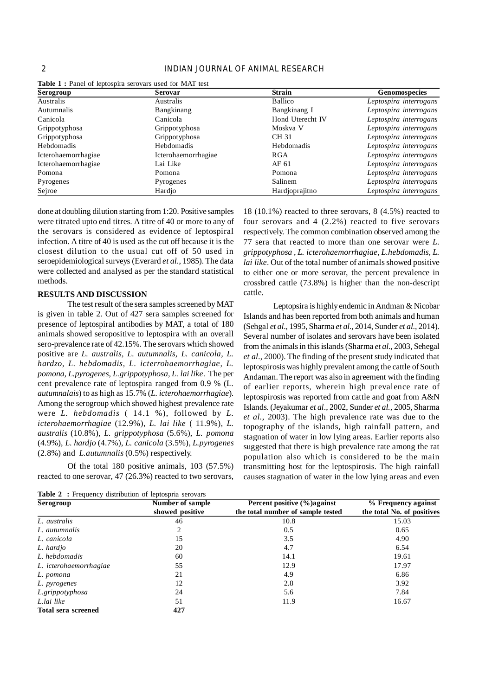# **2 INDIAN JOURNAL OF ANIMAL RESEARCH**

| Serogroup           | <b>Serovar</b>      | <b>Strain</b>    | <b>Genomospecies</b>   |
|---------------------|---------------------|------------------|------------------------|
| Australis           | Australis           | <b>Ballico</b>   | Leptospira interrogans |
| Autumnalis          | Bangkinang          | Bangkinang I     | Leptospira interrogans |
| Canicola            | Canicola            | Hond Uterecht IV | Leptospira interrogans |
| Grippotyphosa       | Grippotyphosa       | Moskva V         | Leptospira interrogans |
| Grippotyphosa       | Grippotyphosa       | CH 31            | Leptospira interrogans |
| Hebdomadis          | Hebdomadis          | Hebdomadis       | Leptospira interrogans |
| Icterohaemorrhagiae | Icterohaemorrhagiae | <b>RGA</b>       | Leptospira interrogans |
| Icterohaemorrhagiae | Lai Like            | AF 61            | Leptospira interrogans |
| Pomona              | Pomona              | Pomona           | Leptospira interrogans |
| Pyrogenes           | Pyrogenes           | Salinem          | Leptospira interrogans |
| Sejroe              | Hardjo              | Hardjoprajitno   | Leptospira interrogans |

Table 1 : Panel of leptospira serovars used for MAT test

done at doubling dilution starting from 1:20. Positive samples were titrated upto end titres. A titre of 40 or more to any of the serovars is considered as evidence of leptospiral infection. A titre of 40 is used as the cut off because it is the closest dilution to the usual cut off of 50 used in seroepidemiological surveys (Everard *et al*., 1985). The data were collected and analysed as per the standard statistical methods.

### **RESULTS AND DISCUSSION**

The test result of the sera samples screened by MAT is given in table 2. Out of 427 sera samples screened for presence of leptospiral antibodies by MAT, a total of 180 animals showed seropositive to leptospira with an overall sero-prevalence rate of 42.15%. The serovars which showed positive are *L. australis, L. autumnalis, L. canicola, L. hardzo, L. hebdomadis, L. icterrohaemorrhagiae, L. pomona, L.pyrogenes, L.grippotyphosa, L. lai like*. The per cent prevalence rate of leptospira ranged from 0.9 % (L*. autumnalais*) to as high as 15.7% (*L. icterohaemorrhagiae*). Among the serogroup which showed highest prevalence rate were *L. hebdomadis* ( 14.1 %), followed by *L. icterohaemorrhagiae* (12.9%), *L. lai like* ( 11.9%), *L. australis* (10.8%), *L. grippotyphosa* (5.6%), *L. pomona* (4.9%), *L. hardjo* (4.7%), *L. canicola* (3.5%), *L.pyrogenes* (2.8%) and *L.autumnalis* (0.5%) respectively.

Of the total 180 positive animals, 103 (57.5%) reacted to one serovar, 47 (26.3%) reacted to two serovars,

18 (10.1%) reacted to three serovars, 8 (4.5%) reacted to four serovars and 4 (2.2%) reacted to five serovars respectively. The common combination observed among the 77 sera that reacted to more than one serovar were *L. grippotyphosa , L. icterohaemorrhagiae, L.hebdomadis, L. lai like*. Out of the total number of animals showed positive to either one or more serovar, the percent prevalence in crossbred cattle (73.8%) is higher than the non-descript cattle.

Leptopsira is highly endemic in Andman & Nicobar Islands and has been reported from both animals and human (Sehgal *et al*., 1995, Sharma *et al*., 2014, Sunder *et al*., 2014). Several number of isolates and serovars have been isolated from the animals in this islands (Sharma *et al*., 2003, Sehegal *et al*., 2000). The finding of the present study indicated that leptospirosis was highly prevalent among the cattle of South Andaman. The report was also in agreement with the finding of earlier reports, wherein high prevalence rate of leptospirosis was reported from cattle and goat from A&N Islands. (Jeyakumar *et al*., 2002, Sunder *et al.,* 2005, Sharma *et al*., 2003). The high prevalence rate was due to the topography of the islands, high rainfall pattern, and stagnation of water in low lying areas. Earlier reports also suggested that there is high prevalence rate among the rat population also which is considered to be the main transmitting host for the leptospirosis. The high rainfall causes stagnation of water in the low lying areas and even

| Serogroup                  | Number of sample | Percent positive (%) against      | % Frequency against<br>the total No. of positives |
|----------------------------|------------------|-----------------------------------|---------------------------------------------------|
|                            | showed positive  | the total number of sample tested |                                                   |
| L. australis               | 46               | 10.8                              | 15.03                                             |
| L. autumnalis              | 2                | 0.5                               | 0.65                                              |
| L. canicola                | 15               | 3.5                               | 4.90                                              |
| L. hardjo                  | 20               | 4.7                               | 6.54                                              |
| L. hebdomadis              | 60               | 14.1                              | 19.61                                             |
| L. icterohaemorrhagiae     | 55               | 12.9                              | 17.97                                             |
| L. pomona                  | 21               | 4.9                               | 6.86                                              |
| L. pyrogenes               | 12               | 2.8                               | 3.92                                              |
| L.grippotyphosa            | 24               | 5.6                               | 7.84                                              |
| L.lai like                 | 51               | 11.9                              | 16.67                                             |
| <b>Total sera screened</b> | 427              |                                   |                                                   |

**Table 2 :** Frequency distribution of leptospria serovars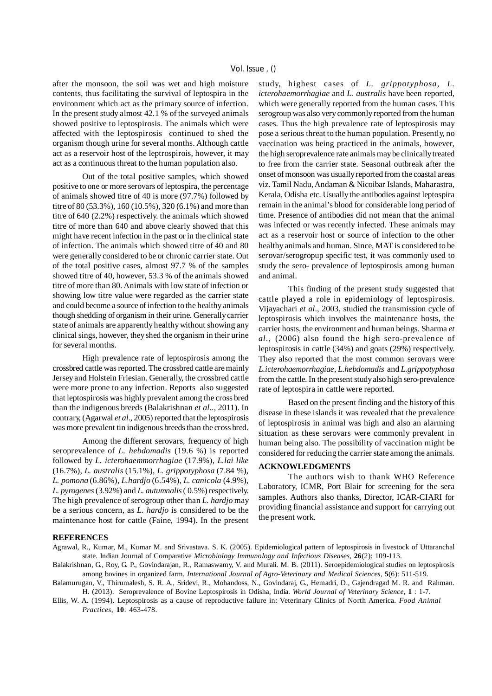after the monsoon, the soil was wet and high moisture contents, thus facilitating the survival of leptospira in the environment which act as the primary source of infection. In the present study almost 42.1 % of the surveyed animals showed positive to leptospirosis. The animals which were affected with the leptospirosis continued to shed the organism though urine for several months. Although cattle act as a reservoir host of the leptrospirois, however, it may act as a continuous threat to the human population also.

Out of the total positive samples, which showed positive to one or more serovars of leptospira, the percentage of animals showed titre of 40 is more (97.7%) followed by titre of 80 (53.3%), 160 (10.5%), 320 (6.1%) and more than titre of 640 (2.2%) respectively. the animals which showed titre of more than 640 and above clearly showed that this might have recent infection in the past or in the clinical state of infection. The animals which showed titre of 40 and 80 were generally considered to be or chronic carrier state. Out of the total positive cases, almost 97.7 % of the samples showed titre of 40, however, 53.3 % of the animals showed titre of more than 80. Animals with low state of infection or showing low titre value were regarded as the carrier state and could become a source of infection to the healthy animals though shedding of organism in their urine. Generally carrier state of animals are apparently healthy without showing any clinical sings, however, they shed the organism in their urine for several months.

High prevalence rate of leptospirosis among the crossbred cattle was reported. The crossbred cattle are mainly Jersey and Holstein Friesian. Generally, the crossbred cattle were more prone to any infection. Reports also suggested that leptospirosis was highly prevalent among the cross bred than the indigenous breeds (Balakrishnan *et al*.., 2011). In contrary, (Agarwal *et al*., 2005) reported that the leptospirosis was more prevalent tin indigenous breeds than the cross bred.

Among the different serovars, frequency of high seroprevalence of *L. hebdomadis* (19.6 %) is reported followed by *L. icterohaemmorrhagiae* (17.9%), *L.lai like* (16.7%), *L. australis* (15.1%), *L. grippotyphosa* (7.84 %), *L. pomona* (6.86%), *L.hardjo* (6.54%), *L. canicola* (4.9%), *L. pyrogenes* (3.92%) and *L. autumnalis* ( 0.5%) respectively. The high prevalence of serogroup other than *L. hardjo* may be a serious concern, as *L. hardjo* is considered to be the maintenance host for cattle (Faine, 1994). In the present

study, highest cases of *L. grippotyphosa, L. icterohaemorrhagiae* and *L. australis* have been reported, which were generally reported from the human cases. This serogroup was also very commonly reported from the human cases. Thus the high prevalence rate of leptospirosis may pose a serious threat to the human population. Presently, no vaccination was being practiced in the animals, however, the high seroprevalence rate animals may be clinically treated to free from the carrier state. Seasonal outbreak after the onset of monsoon was usually reported from the coastal areas viz. Tamil Nadu, Andaman & Nicoibar Islands, Maharastra, Kerala, Odisha etc. Usually the antibodies against leptospira remain in the animal's blood for considerable long period of time. Presence of antibodies did not mean that the animal was infected or was recently infected. These animals may act as a reservoir host or source of infection to the other healthy animals and human. Since, MAT is considered to be serovar/serogropup specific test, it was commonly used to study the sero- prevalence of leptospirosis among human and animal.

This finding of the present study suggested that cattle played a role in epidemiology of leptospirosis. Vijayachari *et al*., 2003, studied the transmission cycle of leptospirosis which involves the maintenance hosts, the carrier hosts, the environment and human beings. Sharma *et al.*, (2006) also found the high sero-prevalence of leptospirosis in cattle (34%) and goats (29%) respectively. They also reported that the most common serovars were *L.icterohaemorrhagiae*, *L.hebdomadis* and *L.grippotyphosa* from the cattle. In the present study also high sero-prevalence rate of leptospira in cattle were reported.

Based on the present finding and the history of this disease in these islands it was revealed that the prevalence of leptospirosis in animal was high and also an alarming situation as these serovars were commonly prevalent in human being also. The possibility of vaccination might be considered for reducing the carrier state among the animals.

# **ACKNOWLEDGMENTS**

The authors wish to thank WHO Reference Laboratory, ICMR, Port Blair for screening for the sera samples. Authors also thanks, Director, ICAR-CIARI for providing financial assistance and support for carrying out the present work.

#### **REFERENCES**

Agrawal, R., Kumar, M., Kumar M. and Srivastava. S. K. (2005). Epidemiological pattern of leptospirosis in livestock of Uttaranchal state. Indian Journal of Comparative *Microbiology Immunology and Infectious Diseases*, **26**(2): 109-113.

Balakrishnan, G., Roy, G. P., Govindarajan, R., Ramaswamy, V. and Murali. M. B. (2011). Seroepidemiological studies on leptospirosis among bovines in organized farm. *International Journal of Agro-Veterinary and Medical Sciences,* **5**(6): 511-519.

- Balamurugan, V., Thirumalesh, S. R. A., Sridevi, R., Mohandoss, N., Govindaraj, G., Hemadri, D., Gajendragad M. R. and Rahman. H. (2013). Seroprevalence of Bovine Leptospirosis in Odisha, India. *World Journal of Veterinary Science*, **1** : 1-7.
- Ellis, W. A. (1994). Leptospirosis as a cause of reproductive failure in: Veterinary Clinics of North America. *Food Animal Practices*, **10**: 463-478.